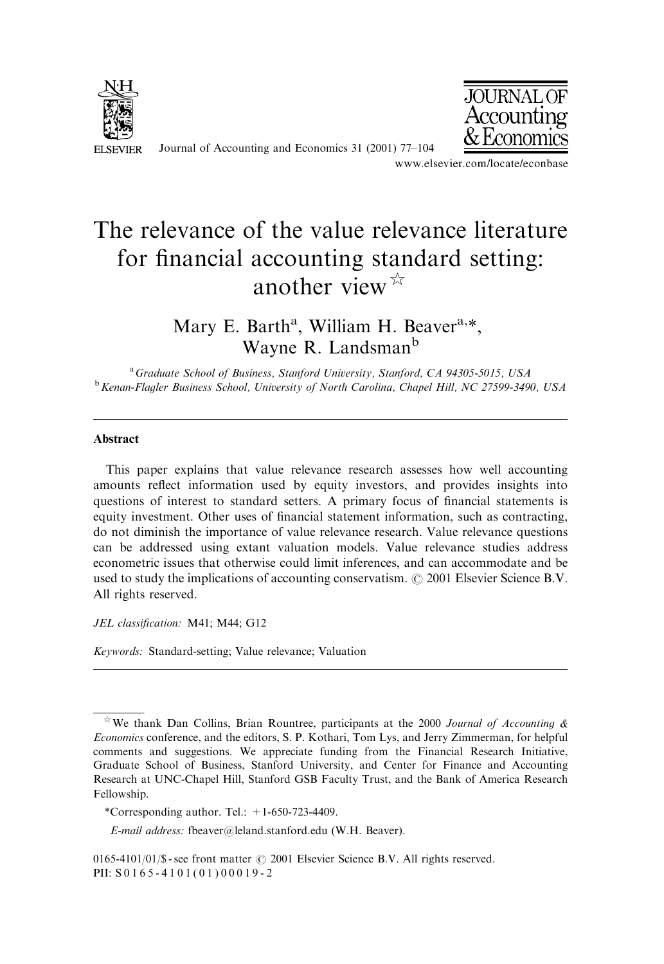

Journal of Accounting and Economics 31 (2001) 77–104



www.elsevier.com/locate/econbase

## The relevance of the value relevance literature for financial accounting standard setting: another view  $\mathbb{\hat{X}}$

Mary E. Barth<sup>a</sup>, William H. Beaver<sup>a,\*</sup>, Wayne R. Landsman<sup>b</sup>

<sup>a</sup> Graduate School of Business, Stanford University, Stanford, CA 94305-5015, USA <sup>b</sup> Kenan-Flagler Business School, University of North Carolina, Chapel Hill, NC 27599-3490, USA

## Abstract

This paper explains that value relevance research assesses how well accounting amounts reflect information used by equity investors, and provides insights into questions of interest to standard setters. A primary focus of financial statements is equity investment. Other uses of financial statement information, such as contracting, do not diminish the importance of value relevance research. Value relevance questions can be addressed using extant valuation models. Value relevance studies address econometric issues that otherwise could limit inferences, and can accommodate and be used to study the implications of accounting conservatism.  $\odot$  2001 Elsevier Science B.V. All rights reserved.

JEL classification: M41; M44; G12

Keywords: Standard-setting; Value relevance; Valuation

E-mail address: fbeaver@leland.stanford.edu (W.H. Beaver).

 $*$ We thank Dan Collins, Brian Rountree, participants at the 2000 Journal of Accounting & Economics conference, and the editors, S. P. Kothari, Tom Lys, and Jerry Zimmerman, for helpful comments and suggestions. We appreciate funding from the Financial Research Initiative, Graduate School of Business, Stanford University, and Center for Finance and Accounting Research at UNC-Chapel Hill, Stanford GSB Faculty Trust, and the Bank of America Research Fellowship.

<sup>\*</sup>Corresponding author. Tel.:  $+1-650-723-4409$ .

<sup>0165-4101/01/\$ -</sup> see front matter  $\odot$  2001 Elsevier Science B.V. All rights reserved. PII: S 0 1 6 5 - 4 1 0 1 (0 1 ) 0 0 0 1 9 - 2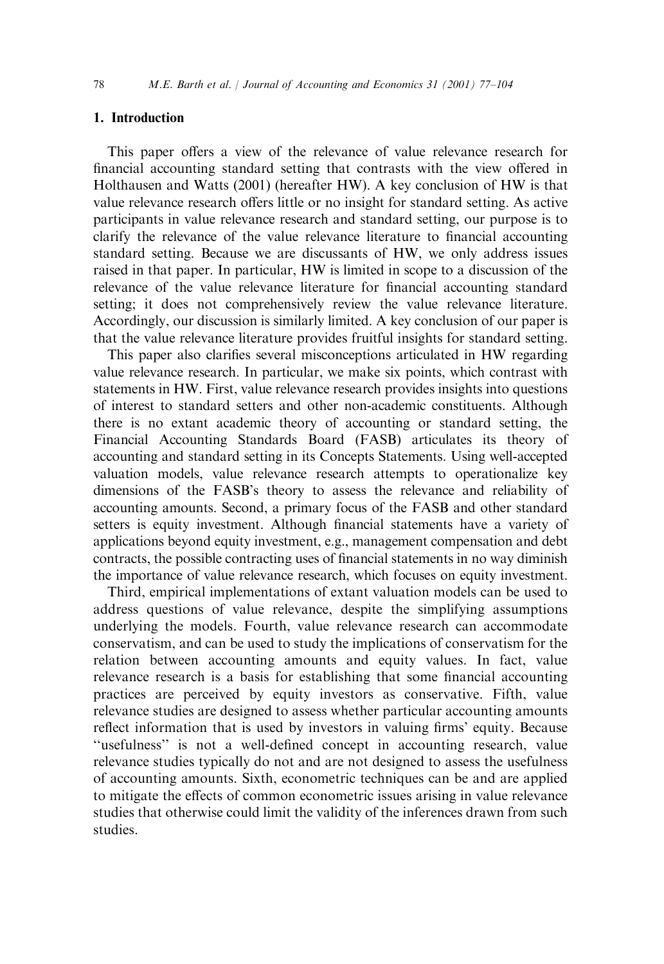## 1. Introduction

This paper offers a view of the relevance of value relevance research for financial accounting standard setting that contrasts with the view offered in Holthausen and Watts (2001) (hereafter HW). A key conclusion of HW is that value relevance research offers little or no insight for standard setting. As active participants in value relevance research and standard setting, our purpose is to clarify the relevance of the value relevance literature to financial accounting standard setting. Because we are discussants of HW, we only address issues raised in that paper. In particular, HW is limited in scope to a discussion of the relevance of the value relevance literature for financial accounting standard setting; it does not comprehensively review the value relevance literature. Accordingly, our discussion is similarly limited. A key conclusion of our paper is that the value relevance literature provides fruitful insights for standard setting.

This paper also clarifies several misconceptions articulated in HW regarding value relevance research. In particular, we make six points, which contrast with statements in HW. First, value relevance research provides insights into questions of interest to standard setters and other non-academic constituents. Although there is no extant academic theory of accounting or standard setting, the Financial Accounting Standards Board (FASB) articulates its theory of accounting and standard setting in its Concepts Statements. Using well-accepted valuation models, value relevance research attempts to operationalize key dimensions of the FASB's theory to assess the relevance and reliability of accounting amounts. Second, a primary focus of the FASB and other standard setters is equity investment. Although financial statements have a variety of applications beyond equity investment, e.g., management compensation and debt contracts, the possible contracting uses of financial statements in no way diminish the importance of value relevance research, which focuses on equity investment.

Third, empirical implementations of extant valuation models can be used to address questions of value relevance, despite the simplifying assumptions underlying the models. Fourth, value relevance research can accommodate conservatism, and can be used to study the implications of conservatism for the relation between accounting amounts and equity values. In fact, value relevance research is a basis for establishing that some financial accounting practices are perceived by equity investors as conservative. Fifth, value relevance studies are designed to assess whether particular accounting amounts reflect information that is used by investors in valuing firms' equity. Because ''usefulness'' is not a well-defined concept in accounting research, value relevance studies typically do not and are not designed to assess the usefulness of accounting amounts. Sixth, econometric techniques can be and are applied to mitigate the effects of common econometric issues arising in value relevance studies that otherwise could limit the validity of the inferences drawn from such studies.